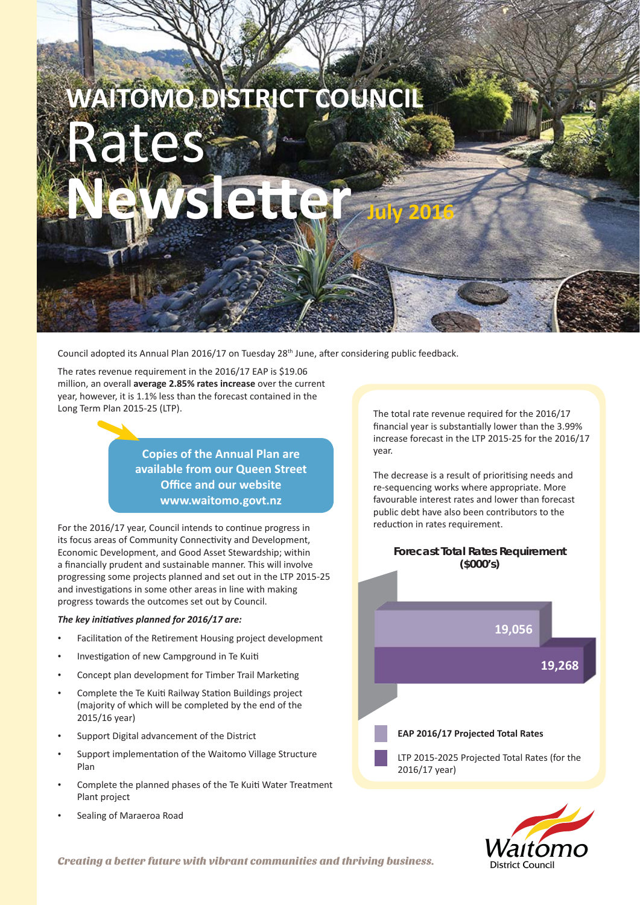# **WAITOMO DISTRICT COUNCIL Rates NewsleƩ er July 2016**

Council adopted its Annual Plan 2016/17 on Tuesday 28<sup>th</sup> June, after considering public feedback.

The rates revenue requirement in the 2016/17 EAP is \$19.06 million, an overall **average 2.85% rates increase** over the current year, however, it is 1.1% less than the forecast contained in the Long Term Plan 2015-25 (LTP).

> **Copies of the Annual Plan are available from our Queen Street Office and our website www.waitomo.govt.nz**

For the 2016/17 year, Council intends to continue progress in its focus areas of Community Connectivity and Development. Economic Development, and Good Asset Stewardship; within a financially prudent and sustainable manner. This will involve progressing some projects planned and set out in the LTP 2015-25 and investigations in some other areas in line with making progress towards the outcomes set out by Council.

## *The key iniƟ aƟ ves planned for 2016/17 are:*

- Facilitation of the Retirement Housing project development
- Investigation of new Campground in Te Kuiti
- Concept plan development for Timber Trail Marketing
- Complete the Te Kuiti Railway Station Buildings project (majority of which will be completed by the end of the 2015/16 year)
- Support Digital advancement of the District
- Support implementation of the Waitomo Village Structure Plan
- Complete the planned phases of the Te Kuiti Water Treatment Plant project
- Sealing of Maraeroa Road

The total rate revenue required for the 2016/17 financial year is substantially lower than the 3.99% increase forecast in the LTP 2015-25 for the 2016/17 year.

The decrease is a result of prioritising needs and re-sequencing works where appropriate. More favourable interest rates and lower than forecast public debt have also been contributors to the reduction in rates requirement.





Creating a better future with vibrant communities and thriving business.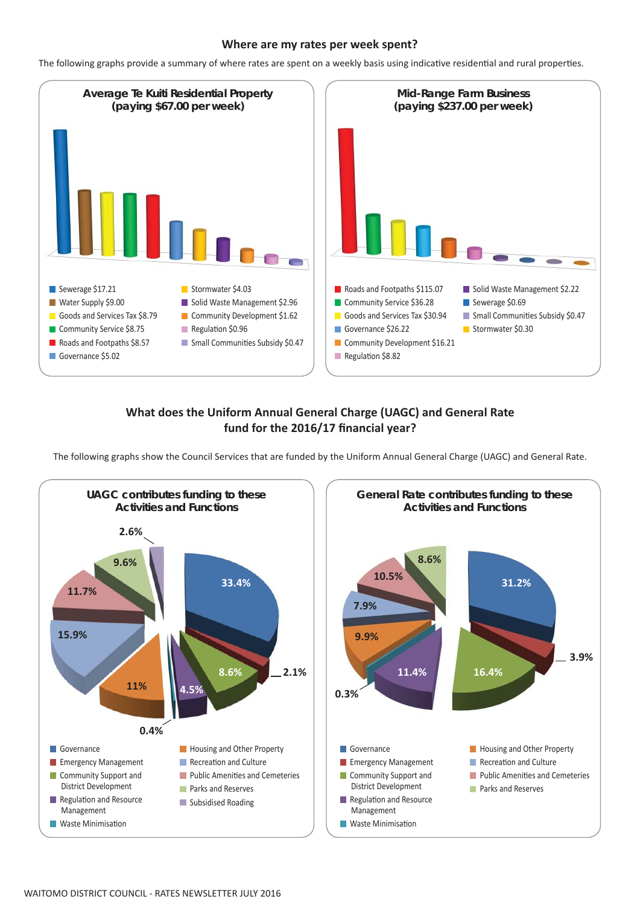# **Where are my rates per week spent?**

The following graphs provide a summary of where rates are spent on a weekly basis using indicative residential and rural properties.



# **What does the Uniform Annual General Charge (UAGC) and General Rate**  fund for the 2016/17 financial year?

The following graphs show the Council Services that are funded by the Uniform Annual General Charge (UAGC) and General Rate.

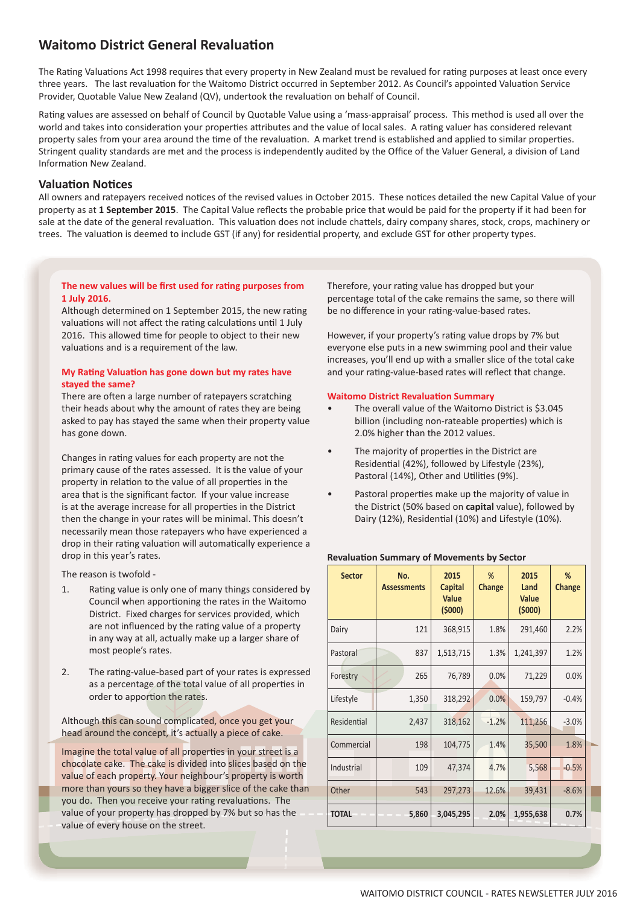# **Waitomo District General Revaluation**

The Rating Valuations Act 1998 requires that every property in New Zealand must be revalued for rating purposes at least once every three years. The last revaluation for the Waitomo District occurred in September 2012. As Council's appointed Valuation Service Provider, Quotable Value New Zealand (QV), undertook the revaluation on behalf of Council.

Rating values are assessed on behalf of Council by Quotable Value using a 'mass-appraisal' process. This method is used all over the world and takes into consideration your properties attributes and the value of local sales. A rating valuer has considered relevant property sales from your area around the time of the revaluation. A market trend is established and applied to similar properties. Stringent quality standards are met and the process is independently audited by the Office of the Valuer General, a division of Land Information New Zealand.

# **ValuaƟ on NoƟ ces**

All owners and ratepayers received notices of the revised values in October 2015. These notices detailed the new Capital Value of your property as at 1 September 2015. The Capital Value reflects the probable price that would be paid for the property if it had been for sale at the date of the general revaluation. This valuation does not include chattels, dairy company shares, stock, crops, machinery or trees. The valuation is deemed to include GST (if any) for residential property, and exclude GST for other property types.

#### **The new values will be first used for rating purposes from 1 July 2016.**

Although determined on 1 September 2015, the new rating valuations will not affect the rating calculations until 1 July 2016. This allowed time for people to object to their new valuations and is a requirement of the law.

#### **My RaƟ ng ValuaƟ on has gone down but my rates have stayed the same?**

There are often a large number of ratepayers scratching their heads about why the amount of rates they are being asked to pay has stayed the same when their property value has gone down.

Changes in rating values for each property are not the primary cause of the rates assessed. It is the value of your property in relation to the value of all properties in the area that is the significant factor. If your value increase is at the average increase for all properties in the District then the change in your rates will be minimal. This doesn't necessarily mean those ratepayers who have experienced a drop in their rating valuation will automatically experience a drop in this year's rates.

The reason is twofold -

- 1. Rating value is only one of many things considered by Council when apportioning the rates in the Waitomo District. Fixed charges for services provided, which are not influenced by the rating value of a property in any way at all, actually make up a larger share of most people's rates.
- 2. The rating-value-based part of your rates is expressed as a percentage of the total value of all properties in order to apportion the rates.

Although this can sound complicated, once you get your head around the concept, it's actually a piece of cake.

Imagine the total value of all properties in your street is a chocolate cake. The cake is divided into slices based on the value of each property. Your neighbour's property is worth more than yours so they have a bigger slice of the cake than you do. Then you receive your rating revaluations. The value of your property has dropped by 7% but so has the value of every house on the street.

Therefore, your rating value has dropped but your percentage total of the cake remains the same, so there will be no difference in your rating-value-based rates.

However, if your property's rating value drops by 7% but everyone else puts in a new swimming pool and their value increases, you'll end up with a smaller slice of the total cake and your rating-value-based rates will reflect that change.

#### **Waitomo District Revaluation Summary**

- The overall value of the Waitomo District is \$3.045 billion (including non-rateable properties) which is 2.0% higher than the 2012 values.
- The majority of properties in the District are Residential (42%), followed by Lifestyle (23%), Pastoral (14%), Other and Utilities (9%).
- Pastoral properties make up the majority of value in the District (50% based on **capital** value), followed by Dairy (12%), Residential (10%) and Lifestyle (10%).

#### **RevaluaƟ on Summary of Movements by Sector**

| <b>Sector</b> | No.<br><b>Assessments</b> | 2015<br><b>Capital</b><br>Value<br>(5000) | %<br><b>Change</b> | 2015<br>Land<br><b>Value</b><br>(5000) | %<br>Change |  |
|---------------|---------------------------|-------------------------------------------|--------------------|----------------------------------------|-------------|--|
| Dairy         | 121                       | 368,915                                   | 1.8%               | 291,460                                | 2.2%        |  |
| Pastoral      | 837                       | 1,513,715                                 | 1.3%               | 1,241,397                              | 1.2%        |  |
| Forestry      | 265                       | 76,789                                    | 0.0%               | 71,229                                 | 0.0%        |  |
| Lifestyle     | 1,350                     | 318,292                                   | 0.0%               | 159,797                                | $-0.4%$     |  |
| Residential   | 2,437                     | 318,162                                   | $-1.2%$            | 111,256                                | $-3.0%$     |  |
| Commercial    | 198                       | 104,775                                   | 1.4%               | 35,500                                 | 1.8%        |  |
| Industrial    | 109                       | 47,374                                    | 4.7%               | 5,568                                  | $-0.5%$     |  |
| Other         | 543                       | 297,273                                   | 12.6%              | 39,431                                 | $-8.6%$     |  |
| <b>TOTAL</b>  | 5,860                     | 3,045,295                                 | 2.0%               | 1,955,638                              | 0.7%        |  |